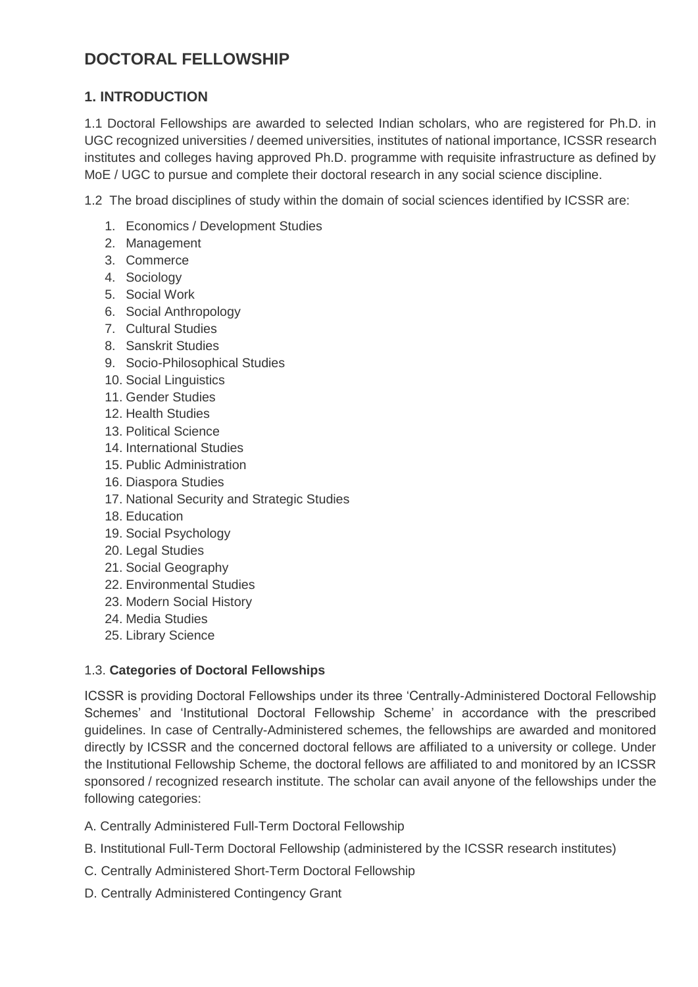## **DOCTORAL FELLOWSHIP**

## **1. INTRODUCTION**

1.1 Doctoral Fellowships are awarded to selected Indian scholars, who are registered for Ph.D. in UGC recognized universities / deemed universities, institutes of national importance, ICSSR research institutes and colleges having approved Ph.D. programme with requisite infrastructure as defined by MoE / UGC to pursue and complete their doctoral research in any social science discipline.

1.2 The broad disciplines of study within the domain of social sciences identified by ICSSR are:

- 1. Economics / Development Studies
- 2. Management
- 3. Commerce
- 4. Sociology
- 5. Social Work
- 6. Social Anthropology
- 7. Cultural Studies
- 8. Sanskrit Studies
- 9. Socio-Philosophical Studies
- 10. Social Linguistics
- 11. Gender Studies
- 12. Health Studies
- 13. Political Science
- 14. International Studies
- 15. Public Administration
- 16. Diaspora Studies
- 17. National Security and Strategic Studies
- 18. Education
- 19. Social Psychology
- 20. Legal Studies
- 21. Social Geography
- 22. Environmental Studies
- 23. Modern Social History
- 24. Media Studies
- 25. Library Science

#### 1.3. **Categories of Doctoral Fellowships**

ICSSR is providing Doctoral Fellowships under its three 'Centrally-Administered Doctoral Fellowship Schemes' and 'Institutional Doctoral Fellowship Scheme' in accordance with the prescribed guidelines. In case of Centrally-Administered schemes, the fellowships are awarded and monitored directly by ICSSR and the concerned doctoral fellows are affiliated to a university or college. Under the Institutional Fellowship Scheme, the doctoral fellows are affiliated to and monitored by an ICSSR sponsored / recognized research institute. The scholar can avail anyone of the fellowships under the following categories:

A. Centrally Administered Full-Term Doctoral Fellowship

- B. Institutional Full-Term Doctoral Fellowship (administered by the ICSSR research institutes)
- C. Centrally Administered Short-Term Doctoral Fellowship
- D. Centrally Administered Contingency Grant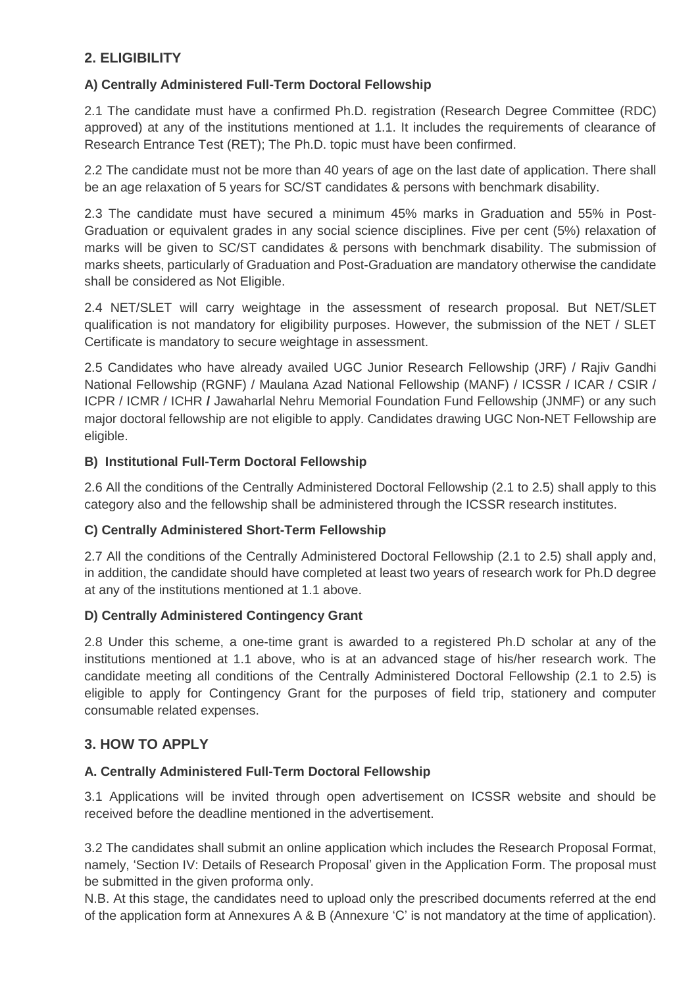## **2. ELIGIBILITY**

## **A) Centrally Administered Full-Term Doctoral Fellowship**

2.1 The candidate must have a confirmed Ph.D. registration (Research Degree Committee (RDC) approved) at any of the institutions mentioned at 1.1. It includes the requirements of clearance of Research Entrance Test (RET); The Ph.D. topic must have been confirmed.

2.2 The candidate must not be more than 40 years of age on the last date of application. There shall be an age relaxation of 5 years for SC/ST candidates & persons with benchmark disability.

2.3 The candidate must have secured a minimum 45% marks in Graduation and 55% in Post-Graduation or equivalent grades in any social science disciplines. Five per cent (5%) relaxation of marks will be given to SC/ST candidates & persons with benchmark disability. The submission of marks sheets, particularly of Graduation and Post-Graduation are mandatory otherwise the candidate shall be considered as Not Eligible.

2.4 NET/SLET will carry weightage in the assessment of research proposal. But NET/SLET qualification is not mandatory for eligibility purposes. However, the submission of the NET / SLET Certificate is mandatory to secure weightage in assessment.

2.5 Candidates who have already availed UGC Junior Research Fellowship (JRF) / Rajiv Gandhi National Fellowship (RGNF) / Maulana Azad National Fellowship (MANF) / ICSSR / ICAR / CSIR / ICPR / ICMR / ICHR **/** Jawaharlal Nehru Memorial Foundation Fund Fellowship (JNMF) or any such major doctoral fellowship are not eligible to apply. Candidates drawing UGC Non-NET Fellowship are eligible.

## **B) Institutional Full-Term Doctoral Fellowship**

2.6 All the conditions of the Centrally Administered Doctoral Fellowship (2.1 to 2.5) shall apply to this category also and the fellowship shall be administered through the ICSSR research institutes.

#### **C) Centrally Administered Short-Term Fellowship**

2.7 All the conditions of the Centrally Administered Doctoral Fellowship (2.1 to 2.5) shall apply and, in addition, the candidate should have completed at least two years of research work for Ph.D degree at any of the institutions mentioned at 1.1 above.

#### **D) Centrally Administered Contingency Grant**

2.8 Under this scheme, a one-time grant is awarded to a registered Ph.D scholar at any of the institutions mentioned at 1.1 above, who is at an advanced stage of his/her research work. The candidate meeting all conditions of the Centrally Administered Doctoral Fellowship (2.1 to 2.5) is eligible to apply for Contingency Grant for the purposes of field trip, stationery and computer consumable related expenses.

## **3. HOW TO APPLY**

#### **A. Centrally Administered Full-Term Doctoral Fellowship**

3.1 Applications will be invited through open advertisement on ICSSR website and should be received before the deadline mentioned in the advertisement.

3.2 The candidates shall submit an online application which includes the Research Proposal Format, namely, 'Section IV: Details of Research Proposal' given in the Application Form. The proposal must be submitted in the given proforma only.

N.B. At this stage, the candidates need to upload only the prescribed documents referred at the end of the application form at Annexures A & B (Annexure 'C' is not mandatory at the time of application).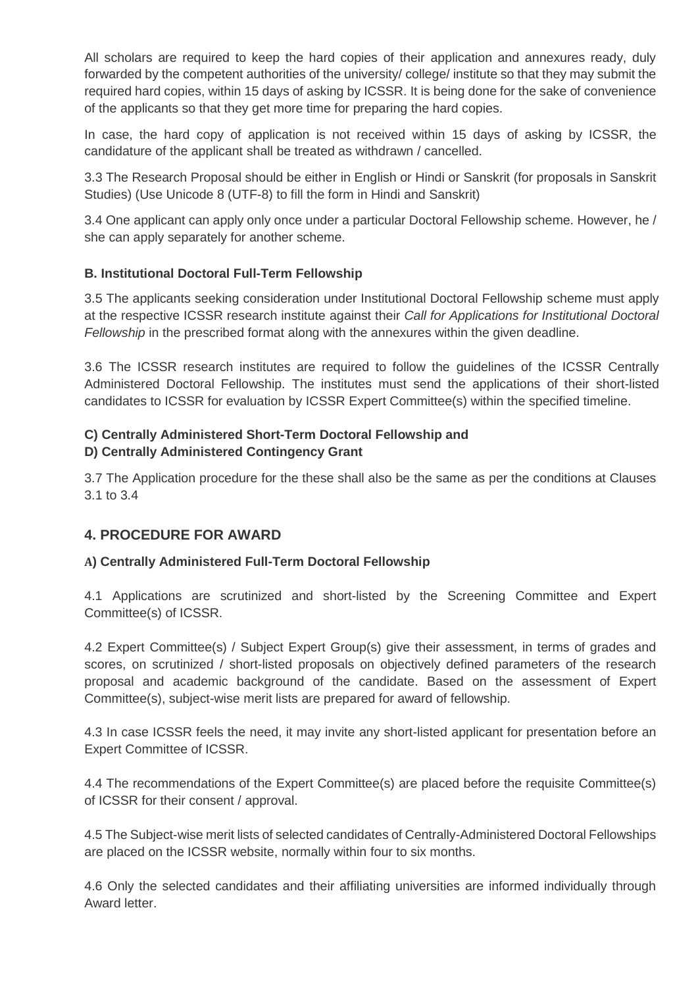All scholars are required to keep the hard copies of their application and annexures ready, duly forwarded by the competent authorities of the university/ college/ institute so that they may submit the required hard copies, within 15 days of asking by ICSSR. It is being done for the sake of convenience of the applicants so that they get more time for preparing the hard copies.

In case, the hard copy of application is not received within 15 days of asking by ICSSR, the candidature of the applicant shall be treated as withdrawn / cancelled.

3.3 The Research Proposal should be either in English or Hindi or Sanskrit (for proposals in Sanskrit Studies) (Use Unicode 8 (UTF-8) to fill the form in Hindi and Sanskrit)

3.4 One applicant can apply only once under a particular Doctoral Fellowship scheme. However, he / she can apply separately for another scheme.

## **B. Institutional Doctoral Full-Term Fellowship**

3.5 The applicants seeking consideration under Institutional Doctoral Fellowship scheme must apply at the respective ICSSR research institute against their *Call for Applications for Institutional Doctoral Fellowship* in the prescribed format along with the annexures within the given deadline.

3.6 The ICSSR research institutes are required to follow the guidelines of the ICSSR Centrally Administered Doctoral Fellowship. The institutes must send the applications of their short-listed candidates to ICSSR for evaluation by ICSSR Expert Committee(s) within the specified timeline.

#### **C) Centrally Administered Short-Term Doctoral Fellowship and D) Centrally Administered Contingency Grant**

3.7 The Application procedure for the these shall also be the same as per the conditions at Clauses 3.1 to 3.4

## **4. PROCEDURE FOR AWARD**

#### **A) Centrally Administered Full-Term Doctoral Fellowship**

4.1 Applications are scrutinized and short-listed by the Screening Committee and Expert Committee(s) of ICSSR.

4.2 Expert Committee(s) / Subject Expert Group(s) give their assessment, in terms of grades and scores, on scrutinized / short-listed proposals on objectively defined parameters of the research proposal and academic background of the candidate. Based on the assessment of Expert Committee(s), subject-wise merit lists are prepared for award of fellowship.

4.3 In case ICSSR feels the need, it may invite any short-listed applicant for presentation before an Expert Committee of ICSSR.

4.4 The recommendations of the Expert Committee(s) are placed before the requisite Committee(s) of ICSSR for their consent / approval.

4.5 The Subject-wise merit lists of selected candidates of Centrally-Administered Doctoral Fellowships are placed on the ICSSR website, normally within four to six months.

4.6 Only the selected candidates and their affiliating universities are informed individually through Award letter.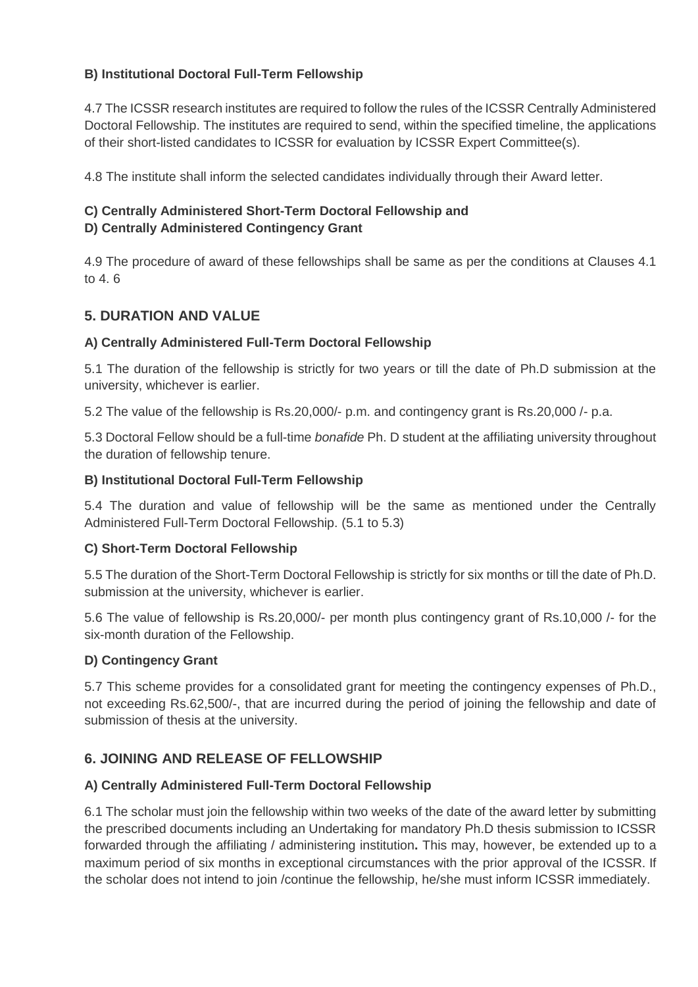## **B) Institutional Doctoral Full-Term Fellowship**

4.7 The ICSSR research institutes are required to follow the rules of the ICSSR Centrally Administered Doctoral Fellowship. The institutes are required to send, within the specified timeline, the applications of their short-listed candidates to ICSSR for evaluation by ICSSR Expert Committee(s).

4.8 The institute shall inform the selected candidates individually through their Award letter.

# **C) Centrally Administered Short-Term Doctoral Fellowship and**

#### **D) Centrally Administered Contingency Grant**

4.9 The procedure of award of these fellowships shall be same as per the conditions at Clauses 4.1 to 4. 6

## **5. DURATION AND VALUE**

#### **A) Centrally Administered Full-Term Doctoral Fellowship**

5.1 The duration of the fellowship is strictly for two years or till the date of Ph.D submission at the university, whichever is earlier.

5.2 The value of the fellowship is Rs.20,000/- p.m. and contingency grant is Rs.20,000 /- p.a.

5.3 Doctoral Fellow should be a full-time *bonafide* Ph. D student at the affiliating university throughout the duration of fellowship tenure.

#### **B) Institutional Doctoral Full-Term Fellowship**

5.4 The duration and value of fellowship will be the same as mentioned under the Centrally Administered Full-Term Doctoral Fellowship. (5.1 to 5.3)

#### **C) Short-Term Doctoral Fellowship**

5.5 The duration of the Short-Term Doctoral Fellowship is strictly for six months or till the date of Ph.D. submission at the university, whichever is earlier.

5.6 The value of fellowship is Rs.20,000/- per month plus contingency grant of Rs.10,000 /- for the six-month duration of the Fellowship.

#### **D) Contingency Grant**

5.7 This scheme provides for a consolidated grant for meeting the contingency expenses of Ph.D., not exceeding Rs.62,500/-, that are incurred during the period of joining the fellowship and date of submission of thesis at the university.

## **6. JOINING AND RELEASE OF FELLOWSHIP**

#### **A) Centrally Administered Full-Term Doctoral Fellowship**

6.1 The scholar must join the fellowship within two weeks of the date of the award letter by submitting the prescribed documents including an Undertaking for mandatory Ph.D thesis submission to ICSSR forwarded through the affiliating / administering institution**.** This may, however, be extended up to a maximum period of six months in exceptional circumstances with the prior approval of the ICSSR. If the scholar does not intend to join /continue the fellowship, he/she must inform ICSSR immediately.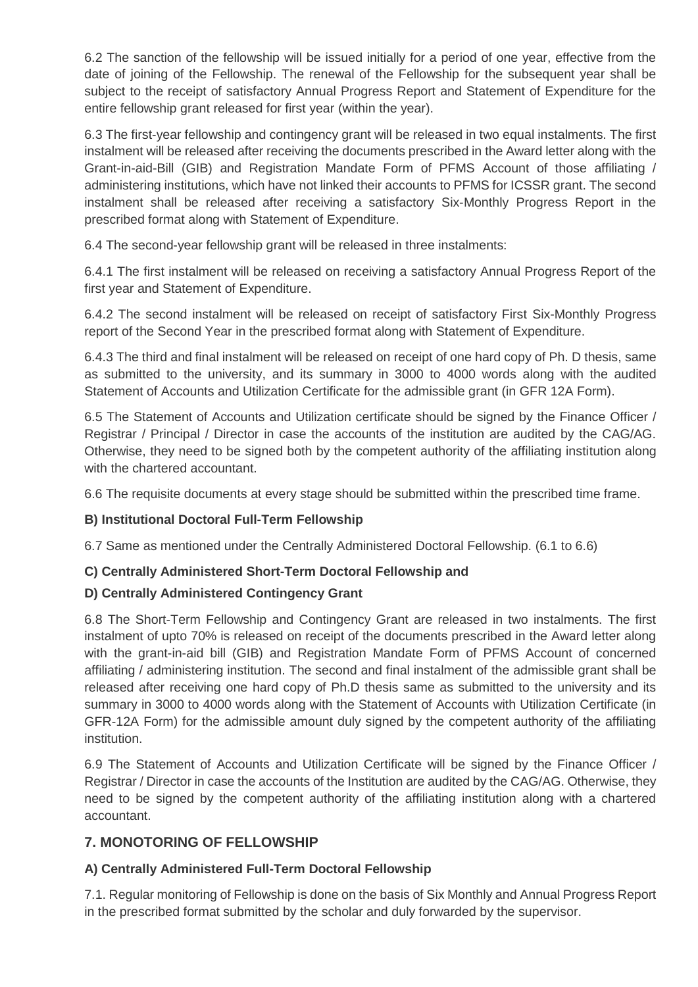6.2 The sanction of the fellowship will be issued initially for a period of one year, effective from the date of joining of the Fellowship. The renewal of the Fellowship for the subsequent year shall be subject to the receipt of satisfactory Annual Progress Report and Statement of Expenditure for the entire fellowship grant released for first year (within the year).

6.3 The first-year fellowship and contingency grant will be released in two equal instalments. The first instalment will be released after receiving the documents prescribed in the Award letter along with the Grant-in-aid-Bill (GIB) and Registration Mandate Form of PFMS Account of those affiliating / administering institutions, which have not linked their accounts to PFMS for ICSSR grant. The second instalment shall be released after receiving a satisfactory Six-Monthly Progress Report in the prescribed format along with Statement of Expenditure.

6.4 The second-year fellowship grant will be released in three instalments:

6.4.1 The first instalment will be released on receiving a satisfactory Annual Progress Report of the first year and Statement of Expenditure.

6.4.2 The second instalment will be released on receipt of satisfactory First Six-Monthly Progress report of the Second Year in the prescribed format along with Statement of Expenditure.

6.4.3 The third and final instalment will be released on receipt of one hard copy of Ph. D thesis, same as submitted to the university, and its summary in 3000 to 4000 words along with the audited Statement of Accounts and Utilization Certificate for the admissible grant (in GFR 12A Form).

6.5 The Statement of Accounts and Utilization certificate should be signed by the Finance Officer / Registrar / Principal / Director in case the accounts of the institution are audited by the CAG/AG. Otherwise, they need to be signed both by the competent authority of the affiliating institution along with the chartered accountant.

6.6 The requisite documents at every stage should be submitted within the prescribed time frame.

#### **B) Institutional Doctoral Full-Term Fellowship**

6.7 Same as mentioned under the Centrally Administered Doctoral Fellowship. (6.1 to 6.6)

#### **C) Centrally Administered Short-Term Doctoral Fellowship and**

#### **D) Centrally Administered Contingency Grant**

6.8 The Short-Term Fellowship and Contingency Grant are released in two instalments. The first instalment of upto 70% is released on receipt of the documents prescribed in the Award letter along with the grant-in-aid bill (GIB) and Registration Mandate Form of PFMS Account of concerned affiliating / administering institution. The second and final instalment of the admissible grant shall be released after receiving one hard copy of Ph.D thesis same as submitted to the university and its summary in 3000 to 4000 words along with the Statement of Accounts with Utilization Certificate (in GFR-12A Form) for the admissible amount duly signed by the competent authority of the affiliating institution.

6.9 The Statement of Accounts and Utilization Certificate will be signed by the Finance Officer / Registrar / Director in case the accounts of the Institution are audited by the CAG/AG. Otherwise, they need to be signed by the competent authority of the affiliating institution along with a chartered accountant.

#### **7. MONOTORING OF FELLOWSHIP**

#### **A) Centrally Administered Full-Term Doctoral Fellowship**

7.1. Regular monitoring of Fellowship is done on the basis of Six Monthly and Annual Progress Report in the prescribed format submitted by the scholar and duly forwarded by the supervisor.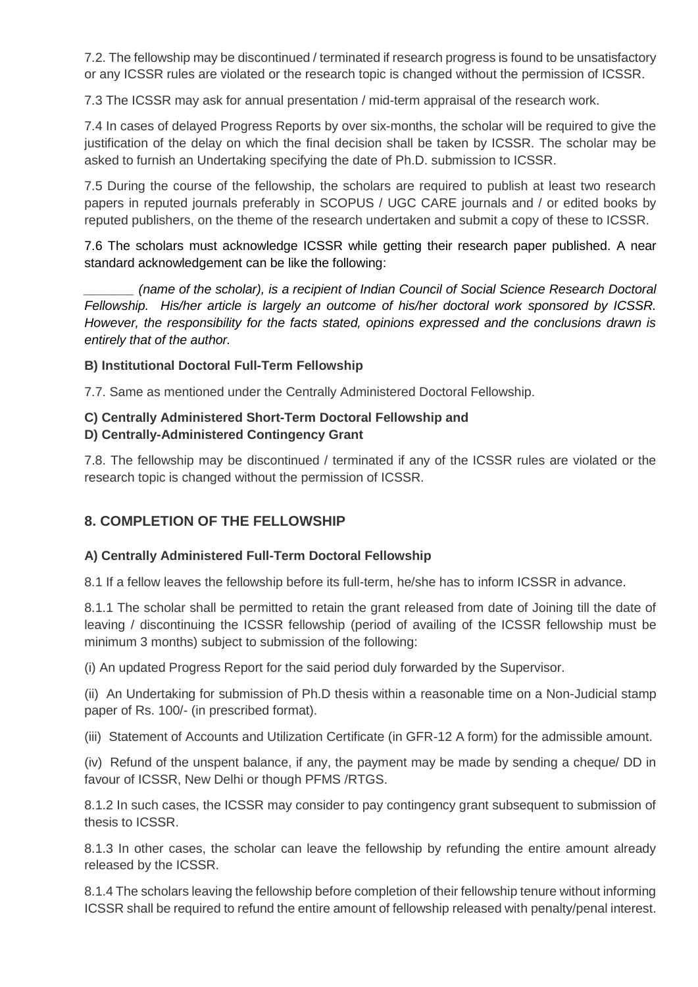7.2. The fellowship may be discontinued / terminated if research progress is found to be unsatisfactory or any ICSSR rules are violated or the research topic is changed without the permission of ICSSR.

7.3 The ICSSR may ask for annual presentation / mid-term appraisal of the research work.

7.4 In cases of delayed Progress Reports by over six-months, the scholar will be required to give the justification of the delay on which the final decision shall be taken by ICSSR. The scholar may be asked to furnish an Undertaking specifying the date of Ph.D. submission to ICSSR.

7.5 During the course of the fellowship, the scholars are required to publish at least two research papers in reputed journals preferably in SCOPUS / UGC CARE journals and / or edited books by reputed publishers, on the theme of the research undertaken and submit a copy of these to ICSSR.

7.6 The scholars must acknowledge ICSSR while getting their research paper published. A near standard acknowledgement can be like the following:

*\_\_\_\_\_\_\_ (name of the scholar), is a recipient of Indian Council of Social Science Research Doctoral Fellowship. His/her article is largely an outcome of his/her doctoral work sponsored by ICSSR. However, the responsibility for the facts stated, opinions expressed and the conclusions drawn is entirely that of the author.* 

#### **B) Institutional Doctoral Full-Term Fellowship**

7.7. Same as mentioned under the Centrally Administered Doctoral Fellowship.

#### **C) Centrally Administered Short-Term Doctoral Fellowship and**

#### **D) Centrally-Administered Contingency Grant**

7.8. The fellowship may be discontinued / terminated if any of the ICSSR rules are violated or the research topic is changed without the permission of ICSSR.

## **8. COMPLETION OF THE FELLOWSHIP**

#### **A) Centrally Administered Full-Term Doctoral Fellowship**

8.1 If a fellow leaves the fellowship before its full-term, he/she has to inform ICSSR in advance.

8.1.1 The scholar shall be permitted to retain the grant released from date of Joining till the date of leaving / discontinuing the ICSSR fellowship (period of availing of the ICSSR fellowship must be minimum 3 months) subject to submission of the following:

(i) An updated Progress Report for the said period duly forwarded by the Supervisor.

(ii) An Undertaking for submission of Ph.D thesis within a reasonable time on a Non-Judicial stamp paper of Rs. 100/- (in prescribed format).

(iii) Statement of Accounts and Utilization Certificate (in GFR-12 A form) for the admissible amount.

(iv) Refund of the unspent balance, if any, the payment may be made by sending a cheque/ DD in favour of ICSSR, New Delhi or though PFMS /RTGS.

8.1.2 In such cases, the ICSSR may consider to pay contingency grant subsequent to submission of thesis to ICSSR.

8.1.3 In other cases, the scholar can leave the fellowship by refunding the entire amount already released by the ICSSR.

8.1.4 The scholars leaving the fellowship before completion of their fellowship tenure without informing ICSSR shall be required to refund the entire amount of fellowship released with penalty/penal interest.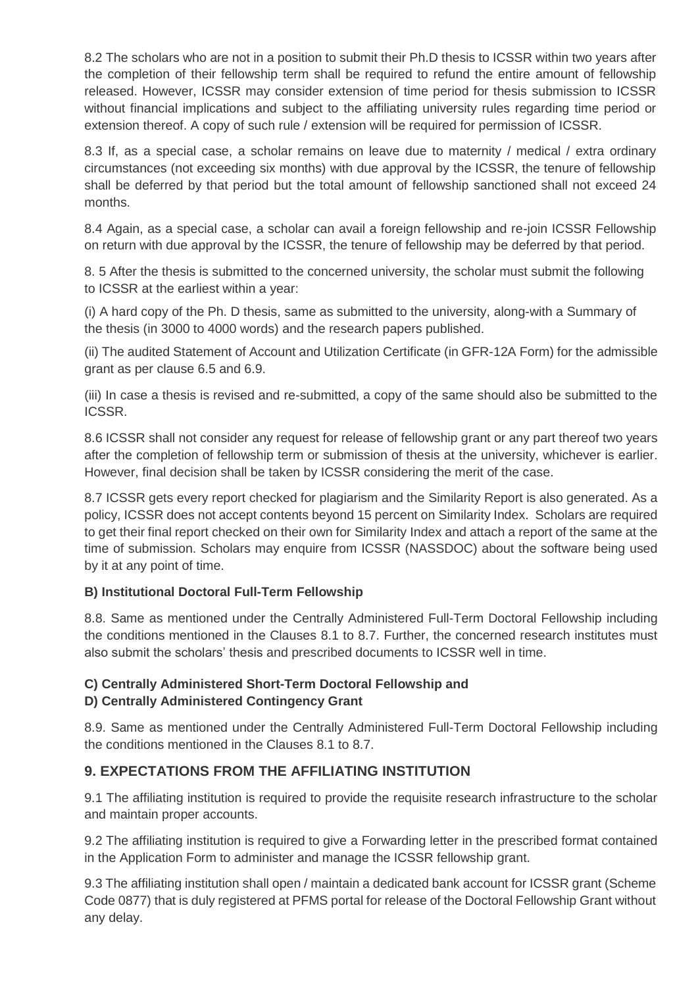8.2 The scholars who are not in a position to submit their Ph.D thesis to ICSSR within two years after the completion of their fellowship term shall be required to refund the entire amount of fellowship released. However, ICSSR may consider extension of time period for thesis submission to ICSSR without financial implications and subject to the affiliating university rules regarding time period or extension thereof. A copy of such rule / extension will be required for permission of ICSSR.

8.3 If, as a special case, a scholar remains on leave due to maternity / medical / extra ordinary circumstances (not exceeding six months) with due approval by the ICSSR, the tenure of fellowship shall be deferred by that period but the total amount of fellowship sanctioned shall not exceed 24 months.

8.4 Again, as a special case, a scholar can avail a foreign fellowship and re-join ICSSR Fellowship on return with due approval by the ICSSR, the tenure of fellowship may be deferred by that period.

8. 5 After the thesis is submitted to the concerned university, the scholar must submit the following to ICSSR at the earliest within a year:

(i) A hard copy of the Ph. D thesis, same as submitted to the university, along-with a Summary of the thesis (in 3000 to 4000 words) and the research papers published.

(ii) The audited Statement of Account and Utilization Certificate (in GFR-12A Form) for the admissible grant as per clause 6.5 and 6.9.

(iii) In case a thesis is revised and re-submitted, a copy of the same should also be submitted to the ICSSR.

8.6 ICSSR shall not consider any request for release of fellowship grant or any part thereof two years after the completion of fellowship term or submission of thesis at the university, whichever is earlier. However, final decision shall be taken by ICSSR considering the merit of the case.

8.7 ICSSR gets every report checked for plagiarism and the Similarity Report is also generated. As a policy, ICSSR does not accept contents beyond 15 percent on Similarity Index. Scholars are required to get their final report checked on their own for Similarity Index and attach a report of the same at the time of submission. Scholars may enquire from ICSSR (NASSDOC) about the software being used by it at any point of time.

#### **B) Institutional Doctoral Full-Term Fellowship**

8.8. Same as mentioned under the Centrally Administered Full-Term Doctoral Fellowship including the conditions mentioned in the Clauses 8.1 to 8.7. Further, the concerned research institutes must also submit the scholars' thesis and prescribed documents to ICSSR well in time.

#### **C) Centrally Administered Short-Term Doctoral Fellowship and D) Centrally Administered Contingency Grant**

8.9. Same as mentioned under the Centrally Administered Full-Term Doctoral Fellowship including the conditions mentioned in the Clauses 8.1 to 8.7.

## **9. EXPECTATIONS FROM THE AFFILIATING INSTITUTION**

9.1 The affiliating institution is required to provide the requisite research infrastructure to the scholar and maintain proper accounts.

9.2 The affiliating institution is required to give a Forwarding letter in the prescribed format contained in the Application Form to administer and manage the ICSSR fellowship grant.

9.3 The affiliating institution shall open / maintain a dedicated bank account for ICSSR grant (Scheme Code 0877) that is duly registered at PFMS portal for release of the Doctoral Fellowship Grant without any delay.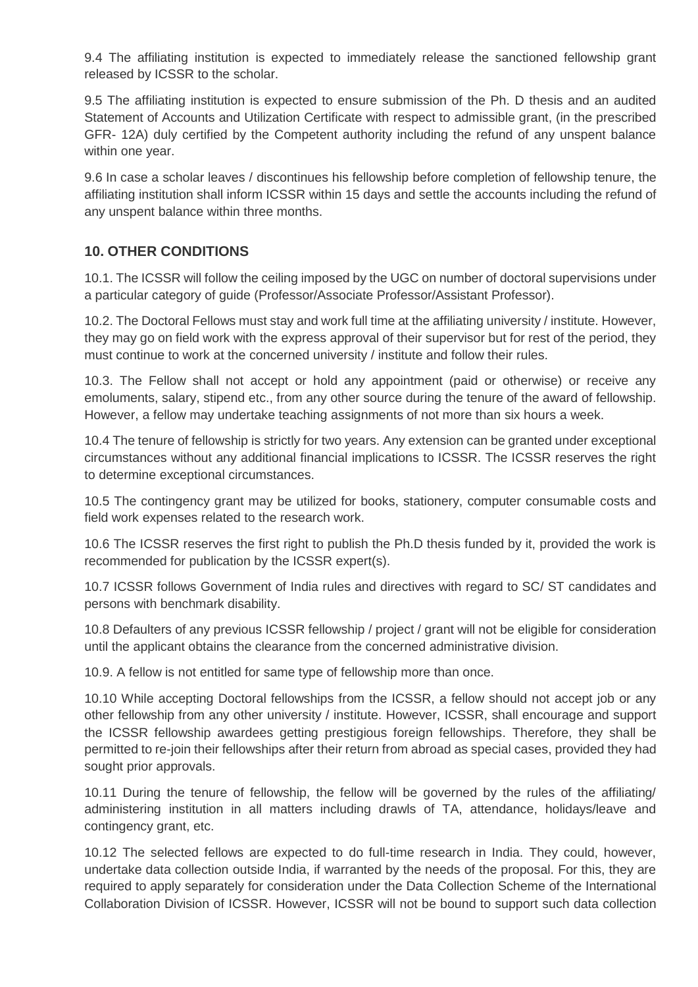9.4 The affiliating institution is expected to immediately release the sanctioned fellowship grant released by ICSSR to the scholar.

9.5 The affiliating institution is expected to ensure submission of the Ph. D thesis and an audited Statement of Accounts and Utilization Certificate with respect to admissible grant, (in the prescribed GFR- 12A) duly certified by the Competent authority including the refund of any unspent balance within one year.

9.6 In case a scholar leaves / discontinues his fellowship before completion of fellowship tenure, the affiliating institution shall inform ICSSR within 15 days and settle the accounts including the refund of any unspent balance within three months.

## **10. OTHER CONDITIONS**

10.1. The ICSSR will follow the ceiling imposed by the UGC on number of doctoral supervisions under a particular category of guide (Professor/Associate Professor/Assistant Professor).

10.2. The Doctoral Fellows must stay and work full time at the affiliating university / institute. However, they may go on field work with the express approval of their supervisor but for rest of the period, they must continue to work at the concerned university / institute and follow their rules.

10.3. The Fellow shall not accept or hold any appointment (paid or otherwise) or receive any emoluments, salary, stipend etc., from any other source during the tenure of the award of fellowship. However, a fellow may undertake teaching assignments of not more than six hours a week.

10.4 The tenure of fellowship is strictly for two years. Any extension can be granted under exceptional circumstances without any additional financial implications to ICSSR. The ICSSR reserves the right to determine exceptional circumstances.

10.5 The contingency grant may be utilized for books, stationery, computer consumable costs and field work expenses related to the research work.

10.6 The ICSSR reserves the first right to publish the Ph.D thesis funded by it, provided the work is recommended for publication by the ICSSR expert(s).

10.7 ICSSR follows Government of India rules and directives with regard to SC/ ST candidates and persons with benchmark disability.

10.8 Defaulters of any previous ICSSR fellowship / project / grant will not be eligible for consideration until the applicant obtains the clearance from the concerned administrative division.

10.9. A fellow is not entitled for same type of fellowship more than once.

10.10 While accepting Doctoral fellowships from the ICSSR, a fellow should not accept job or any other fellowship from any other university / institute. However, ICSSR, shall encourage and support the ICSSR fellowship awardees getting prestigious foreign fellowships. Therefore, they shall be permitted to re-join their fellowships after their return from abroad as special cases, provided they had sought prior approvals.

10.11 During the tenure of fellowship, the fellow will be governed by the rules of the affiliating/ administering institution in all matters including drawls of TA, attendance, holidays/leave and contingency grant, etc.

10.12 The selected fellows are expected to do full-time research in India. They could, however, undertake data collection outside India, if warranted by the needs of the proposal. For this, they are required to apply separately for consideration under the Data Collection Scheme of the International Collaboration Division of ICSSR. However, ICSSR will not be bound to support such data collection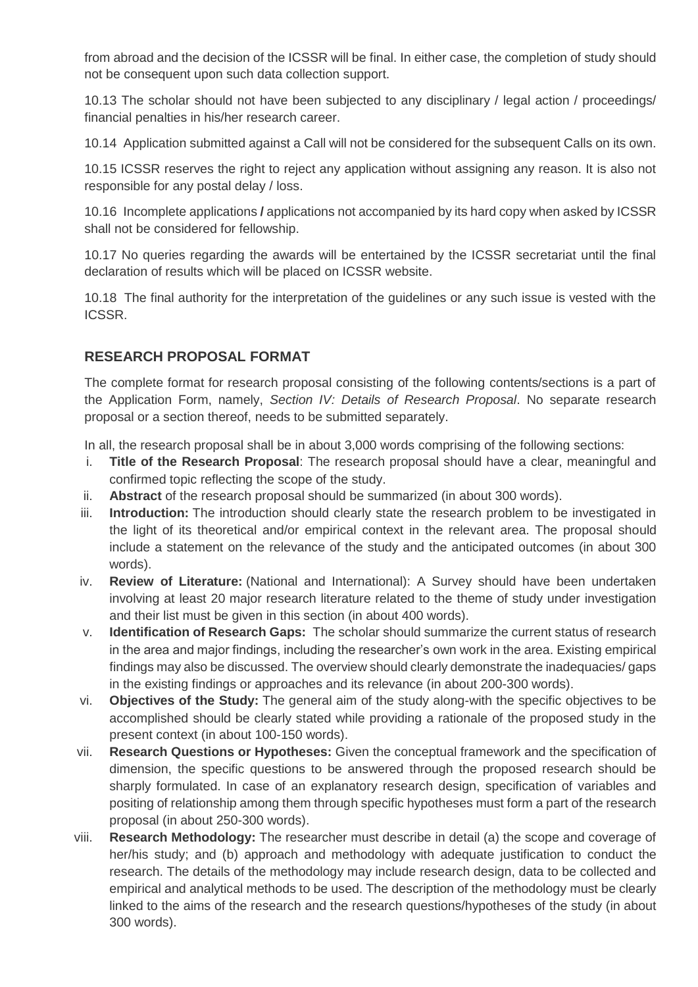from abroad and the decision of the ICSSR will be final. In either case, the completion of study should not be consequent upon such data collection support.

10.13 The scholar should not have been subjected to any disciplinary / legal action / proceedings/ financial penalties in his/her research career.

10.14 Application submitted against a Call will not be considered for the subsequent Calls on its own.

10.15 ICSSR reserves the right to reject any application without assigning any reason. It is also not responsible for any postal delay / loss.

10.16 Incomplete applications **/** applications not accompanied by its hard copy when asked by ICSSR shall not be considered for fellowship.

10.17 No queries regarding the awards will be entertained by the ICSSR secretariat until the final declaration of results which will be placed on ICSSR website.

10.18 The final authority for the interpretation of the guidelines or any such issue is vested with the ICSSR.

## **RESEARCH PROPOSAL FORMAT**

The complete format for research proposal consisting of the following contents/sections is a part of the Application Form, namely, *Section IV: Details of Research Proposal*. No separate research proposal or a section thereof, needs to be submitted separately.

In all, the research proposal shall be in about 3,000 words comprising of the following sections:

- i. **Title of the Research Proposal**: The research proposal should have a clear, meaningful and confirmed topic reflecting the scope of the study.
- ii. **Abstract** of the research proposal should be summarized (in about 300 words).
- iii. **Introduction:** The introduction should clearly state the research problem to be investigated in the light of its theoretical and/or empirical context in the relevant area. The proposal should include a statement on the relevance of the study and the anticipated outcomes (in about 300 words).
- iv. **Review of Literature:** (National and International): A Survey should have been undertaken involving at least 20 major research literature related to the theme of study under investigation and their list must be given in this section (in about 400 words).
- v. **Identification of Research Gaps:** The scholar should summarize the current status of research in the area and major findings, including the researcher's own work in the area. Existing empirical findings may also be discussed. The overview should clearly demonstrate the inadequacies/ gaps in the existing findings or approaches and its relevance (in about 200-300 words).
- vi. **Objectives of the Study:** The general aim of the study along-with the specific objectives to be accomplished should be clearly stated while providing a rationale of the proposed study in the present context (in about 100-150 words).
- vii. **Research Questions or Hypotheses:** Given the conceptual framework and the specification of dimension, the specific questions to be answered through the proposed research should be sharply formulated. In case of an explanatory research design, specification of variables and positing of relationship among them through specific hypotheses must form a part of the research proposal (in about 250-300 words).
- viii. **Research Methodology:** The researcher must describe in detail (a) the scope and coverage of her/his study; and (b) approach and methodology with adequate justification to conduct the research. The details of the methodology may include research design, data to be collected and empirical and analytical methods to be used. The description of the methodology must be clearly linked to the aims of the research and the research questions/hypotheses of the study (in about 300 words).